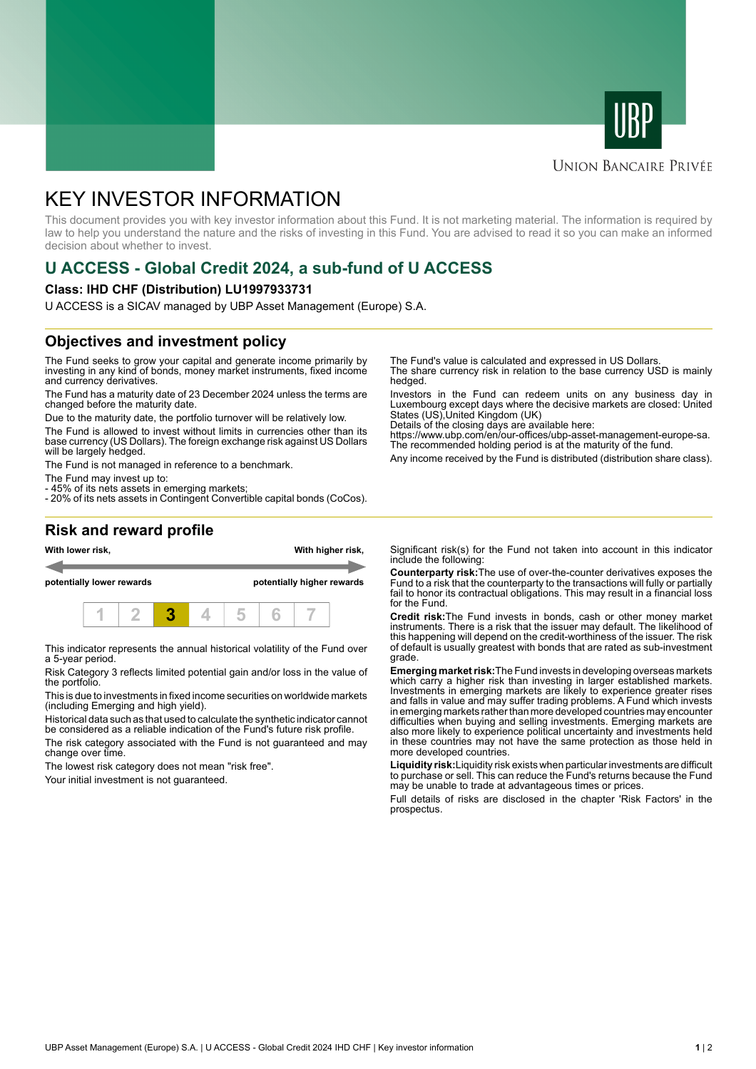



### **UNION BANCAIRE PRIVÉE**

# KEY INVESTOR INFORMATION

This document provides you with key investor information about this Fund. It is not marketing material. The information is required by law to help you understand the nature and the risks of investing in this Fund. You are advised to read it so you can make an informed decision about whether to invest.

## **U ACCESS - Global Credit 2024, a sub-fund of U ACCESS**

#### **Class: IHD CHF (Distribution) LU1997933731**

U ACCESS is a SICAV managed by UBP Asset Management (Europe) S.A.

### **Objectives and investment policy**

The Fund seeks to grow your capital and generate income primarily by investing in any kind of bonds, money market instruments, fixed income and currency derivatives.

The Fund has a maturity date of 23 December 2024 unless the terms are changed before the maturity date.

Due to the maturity date, the portfolio turnover will be relatively low.

The Fund is allowed to invest without limits in currencies other than its base currency (US Dollars). The foreign exchange risk against US Dollars will be largely hedged.

The Fund is not managed in reference to a benchmark.

The Fund may invest up to:

- 45% of its nets assets in emerging markets;

- 20% of its nets assets in Contingent Convertible capital bonds (CoCos).

The Fund's value is calculated and expressed in US Dollars.

The share currency risk in relation to the base currency USD is mainly hedged.

Investors in the Fund can redeem units on any business day in Luxembourg except days where the decisive markets are closed: United States (US),United Kingdom (UK)

Details of the closing days are available here:

https://www.ubp.com/en/our-offices/ubp-asset-management-europe-sa. The recommended holding period is at the maturity of the fund.

Any income received by the Fund is distributed (distribution share class).

## **Risk and reward profile**



This indicator represents the annual historical volatility of the Fund over a 5-year period.

Risk Category 3 reflects limited potential gain and/or loss in the value of the portfolio.

This is due to investments in fixed income securities on worldwide markets (including Emerging and high yield).

Historical data such as that used to calculate the synthetic indicator cannot be considered as a reliable indication of the Fund's future risk profile.

The risk category associated with the Fund is not guaranteed and may change over time.

The lowest risk category does not mean "risk free".

Your initial investment is not guaranteed.

Significant risk(s) for the Fund not taken into account in this indicator include the following:

**Counterparty risk:**The use of over-the-counter derivatives exposes the Fund to a risk that the counterparty to the transactions will fully or partially fail to honor its contractual obligations. This may result in a financial loss for the Fund.

**Credit risk:**The Fund invests in bonds, cash or other money market instruments. There is a risk that the issuer may default. The likelihood of this happening will depend on the credit-worthiness of the issuer. The risk of default is usually greatest with bonds that are rated as sub-investment grade.

**Emerging market risk:**The Fund invests in developing overseas markets which carry a higher risk than investing in larger established markets. Investments in emerging markets are likely to experience greater rises and falls in value and may suffer trading problems. A Fund which invests in emerging markets rather than more developed countries may encounter difficulties when buying and selling investments. Emerging markets are also more likely to experience political uncertainty and investments held in these countries may not have the same protection as those held in more developed countries.

**Liquidity risk:**Liquidity risk exists when particular investments are difficult to purchase or sell. This can reduce the Fund's returns because the Fund may be unable to trade at advantageous times or prices.

Full details of risks are disclosed in the chapter 'Risk Factors' in the prospectus.